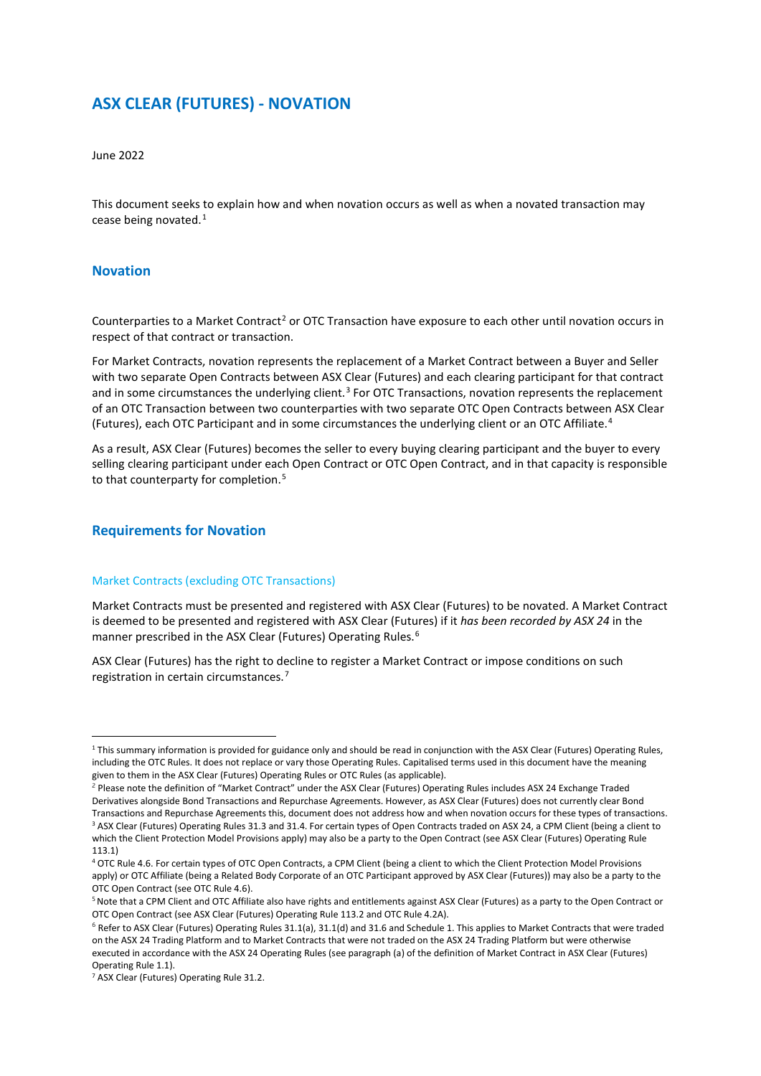# **ASX CLEAR (FUTURES) - NOVATION**

June 2022

This document seeks to explain how and when novation occurs as well as when a novated transaction may cease being novated. [1](#page-0-0)

## **Novation**

-

Counterparties to a Market Contract<sup>[2](#page-0-1)</sup> or OTC Transaction have exposure to each other until novation occurs in respect of that contract or transaction.

For Market Contracts, novation represents the replacement of a Market Contract between a Buyer and Seller with two separate Open Contracts between ASX Clear (Futures) and each clearing participant for that contract and in some circumstances the underlying client.<sup>[3](#page-0-2)</sup> For OTC Transactions, novation represents the replacement of an OTC Transaction between two counterparties with two separate OTC Open Contracts between ASX Clear (Futures), each OTC Participant and in some circumstances the underlying client or an OTC Affiliate. [4](#page-0-3)

As a result, ASX Clear (Futures) becomes the seller to every buying clearing participant and the buyer to every selling clearing participant under each Open Contract or OTC Open Contract, and in that capacity is responsible to that counterparty for completion.<sup>[5](#page-0-4)</sup>

## **Requirements for Novation**

### Market Contracts (excluding OTC Transactions)

Market Contracts must be presented and registered with ASX Clear (Futures) to be novated. A Market Contract is deemed to be presented and registered with ASX Clear (Futures) if it *has been recorded by ASX 24* in the manner prescribed in the ASX Clear (Futures) Operating Rules.<sup>[6](#page-0-5)</sup>

ASX Clear (Futures) has the right to decline to register a Market Contract or impose conditions on such registration in certain circumstances.[7](#page-0-6)

<span id="page-0-0"></span><sup>&</sup>lt;sup>1</sup> This summary information is provided for guidance only and should be read in conjunction with the ASX Clear (Futures) Operating Rules, including the OTC Rules. It does not replace or vary those Operating Rules. Capitalised terms used in this document have the meaning given to them in the ASX Clear (Futures) Operating Rules or OTC Rules (as applicable).

<span id="page-0-1"></span><sup>&</sup>lt;sup>2</sup> Please note the definition of "Market Contract" under the ASX Clear (Futures) Operating Rules includes ASX 24 Exchange Traded Derivatives alongside Bond Transactions and Repurchase Agreements. However, as ASX Clear (Futures) does not currently clear Bond Transactions and Repurchase Agreements this, document does not address how and when novation occurs for these types of transactions. <sup>3</sup> ASX Clear (Futures) Operating Rules 31.3 and 31.4. For certain types of Open Contracts traded on ASX 24, a CPM Client (being a client to which the Client Protection Model Provisions apply) may also be a party to the Open Contract (see ASX Clear (Futures) Operating Rule 113.1)

<span id="page-0-3"></span><span id="page-0-2"></span><sup>4</sup> OTC Rule 4.6. For certain types of OTC Open Contracts, a CPM Client (being a client to which the Client Protection Model Provisions apply) or OTC Affiliate (being a Related Body Corporate of an OTC Participant approved by ASX Clear (Futures)) may also be a party to the OTC Open Contract (see OTC Rule 4.6).

<span id="page-0-4"></span><sup>&</sup>lt;sup>5</sup> Note that a CPM Client and OTC Affiliate also have rights and entitlements against ASX Clear (Futures) as a party to the Open Contract or OTC Open Contract (see ASX Clear (Futures) Operating Rule 113.2 and OTC Rule 4.2A).

<span id="page-0-5"></span> $6$  Refer to ASX Clear (Futures) Operating Rules 31.1(a), 31.1(d) and 31.6 and Schedule 1. This applies to Market Contracts that were traded on the ASX 24 Trading Platform and to Market Contracts that were not traded on the ASX 24 Trading Platform but were otherwise executed in accordance with the ASX 24 Operating Rules (see paragraph (a) of the definition of Market Contract in ASX Clear (Futures) Operating Rule 1.1).

<span id="page-0-6"></span><sup>7</sup> ASX Clear (Futures) Operating Rule 31.2.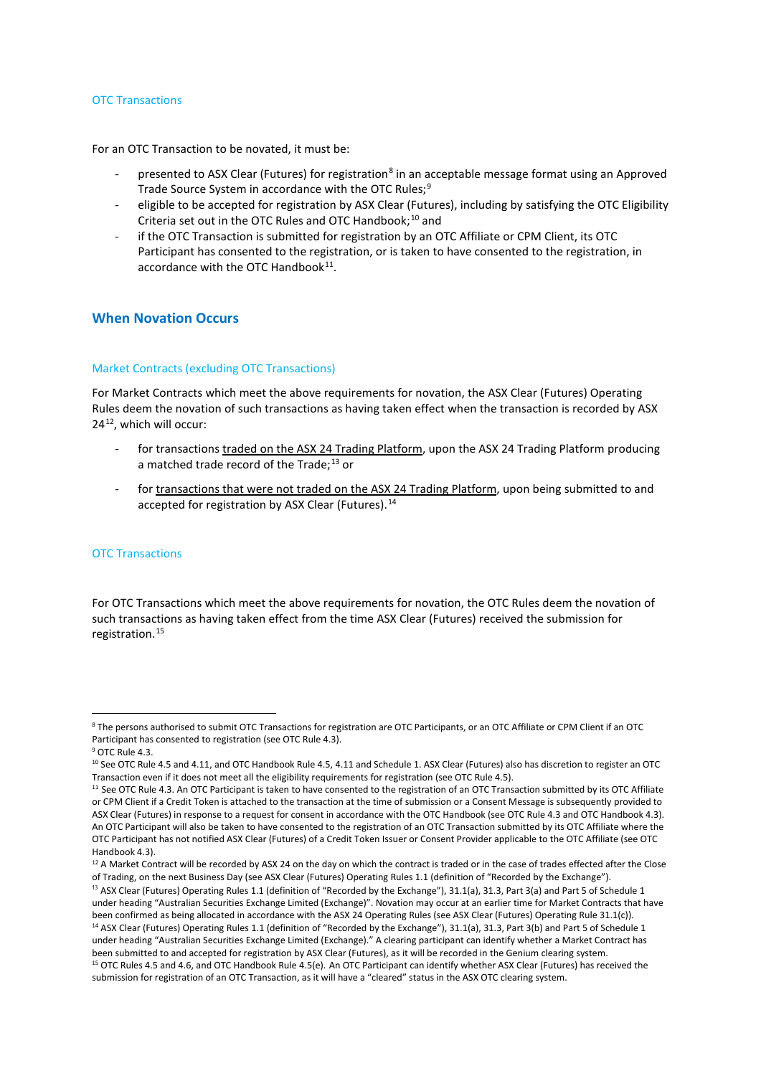#### OTC Transactions

For an OTC Transaction to be novated, it must be:

- presented to ASX Clear (Futures) for registration<sup>[8](#page-1-0)</sup> in an acceptable message format using an Approved Trade Source System in accordance with the OTC Rules;<sup>[9](#page-1-1)</sup>
- eligible to be accepted for registration by ASX Clear (Futures), including by satisfying the OTC Eligibility Criteria set out in the OTC Rules and OTC Handbook; [10](#page-1-2) and
- if the OTC Transaction is submitted for registration by an OTC Affiliate or CPM Client, its OTC Participant has consented to the registration, or is taken to have consented to the registration, in accordance with the OTC Handbook $^{11}$ .

## **When Novation Occurs**

#### Market Contracts (excluding OTC Transactions)

For Market Contracts which meet the above requirements for novation, the ASX Clear (Futures) Operating Rules deem the novation of such transactions as having taken effect when the transaction is recorded by ASX 24[12](#page-1-4), which will occur:

- for transactions traded on the ASX 24 Trading Platform, upon the ASX 24 Trading Platform producing a matched trade record of the Trade;<sup>[13](#page-1-5)</sup> or
- for transactions that were not traded on the ASX 24 Trading Platform, upon being submitted to and accepted for registration by ASX Clear (Futures).<sup>[14](#page-1-6)</sup>

#### OTC Transactions

For OTC Transactions which meet the above requirements for novation, the OTC Rules deem the novation of such transactions as having taken effect from the time ASX Clear (Futures) received the submission for registration.[15](#page-1-7)

1

<span id="page-1-0"></span><sup>8</sup> The persons authorised to submit OTC Transactions for registration are OTC Participants, or an OTC Affiliate or CPM Client if an OTC Participant has consented to registration (see OTC Rule 4.3).

<span id="page-1-1"></span> $9$  OTC Rule 4.3.

<span id="page-1-2"></span><sup>10</sup> See OTC Rule 4.5 and 4.11, and OTC Handbook Rule 4.5, 4.11 and Schedule 1. ASX Clear (Futures) also has discretion to register an OTC Transaction even if it does not meet all the eligibility requirements for registration (see OTC Rule 4.5).

<span id="page-1-3"></span><sup>&</sup>lt;sup>11</sup> See OTC Rule 4.3. An OTC Participant is taken to have consented to the registration of an OTC Transaction submitted by its OTC Affiliate or CPM Client if a Credit Token is attached to the transaction at the time of submission or a Consent Message is subsequently provided to ASX Clear (Futures) in response to a request for consent in accordance with the OTC Handbook (see OTC Rule 4.3 and OTC Handbook 4.3). An OTC Participant will also be taken to have consented to the registration of an OTC Transaction submitted by its OTC Affiliate where the OTC Participant has not notified ASX Clear (Futures) of a Credit Token Issuer or Consent Provider applicable to the OTC Affiliate (see OTC Handbook 4.3).

<span id="page-1-4"></span><sup>&</sup>lt;sup>12</sup> A Market Contract will be recorded by ASX 24 on the day on which the contract is traded or in the case of trades effected after the Close of Trading, on the next Business Day (see ASX Clear (Futures) Operating Rules 1.1 (definition of "Recorded by the Exchange").

<span id="page-1-7"></span><span id="page-1-6"></span><span id="page-1-5"></span> $13$  ASX Clear (Futures) Operating Rules 1.1 (definition of "Recorded by the Exchange"), 31.1(a), 31.3, Part 3(a) and Part 5 of Schedule 1 under heading "Australian Securities Exchange Limited (Exchange)". Novation may occur at an earlier time for Market Contracts that have been confirmed as being allocated in accordance with the ASX 24 Operating Rules (see ASX Clear (Futures) Operating Rule 31.1(c)). <sup>14</sup> ASX Clear (Futures) Operating Rules 1.1 (definition of "Recorded by the Exchange"), 31.1(a), 31.3, Part 3(b) and Part 5 of Schedule 1 under heading "Australian Securities Exchange Limited (Exchange)." A clearing participant can identify whether a Market Contract has been submitted to and accepted for registration by ASX Clear (Futures), as it will be recorded in the Genium clearing system.<br><sup>15</sup> OTC Rules 4.5 and 4.6, and OTC Handbook Rule 4.5(e). An OTC Participant can identify whethe submission for registration of an OTC Transaction, as it will have a "cleared" status in the ASX OTC clearing system.